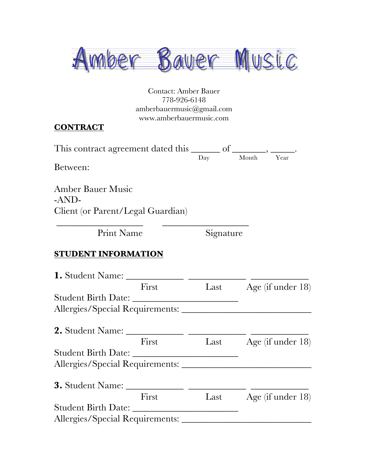

Contact: Amber Bauer 778-926-6148 amberbauermusic@gmail.com www.amberbauermusic.com

#### **CONTRACT**

| This contract agreement dated this _______ |     |            |  |  |
|--------------------------------------------|-----|------------|--|--|
|                                            | Day | Month Year |  |  |

\_\_\_\_\_\_\_\_\_\_\_\_\_\_\_\_\_\_ \_\_\_\_\_\_\_\_\_\_\_\_\_\_\_\_\_\_

Between:

Amber Bauer Music -AND-Client (or Parent/Legal Guardian)

Print Name Signature

#### **STUDENT INFORMATION**

| 1. Student Name: ______         |       |      |                      |
|---------------------------------|-------|------|----------------------|
|                                 | First | Last | Age (if under 18)    |
| Student Birth Date:             |       |      |                      |
|                                 |       |      |                      |
| 2. Student Name: ___________    |       |      |                      |
|                                 | First | Last | Age (if under $18$ ) |
|                                 |       |      |                      |
|                                 |       |      |                      |
| 3. Student Name: ______         |       |      |                      |
|                                 | First | Last | Age (if under 18)    |
| Student Birth Date:             |       |      |                      |
| Allergies/Special Requirements: |       |      |                      |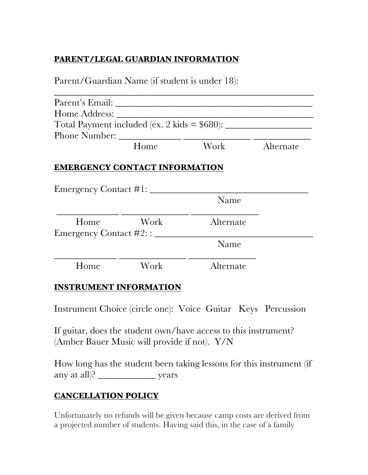### **PARENT/LEGAL GUARDIAN INFORMATION**

Parent/Guardian Name (if student is under 18):

|                              | Parent's Email: New York Channels and Security and Security and Security and Security and Security and Security and Security and Security and Security and Security and Security and Security and Security and Security and Se |           |           |
|------------------------------|--------------------------------------------------------------------------------------------------------------------------------------------------------------------------------------------------------------------------------|-----------|-----------|
| Home Address:                |                                                                                                                                                                                                                                |           |           |
|                              |                                                                                                                                                                                                                                |           |           |
|                              |                                                                                                                                                                                                                                |           |           |
|                              | Home                                                                                                                                                                                                                           | Work      | Alternate |
|                              |                                                                                                                                                                                                                                |           |           |
| Emergency Contact #1: _____  | <b>EMERGENCY CONTACT INFORMATION</b>                                                                                                                                                                                           | Name      |           |
| Home                         | Work                                                                                                                                                                                                                           | Alternate |           |
| Emergency Contact #2: : ____ |                                                                                                                                                                                                                                | Name      |           |

#### **INSTRUMENT INFORMATION**

Instrument Choice (circle one): Voice Guitar Keys Percussion

If guitar, does the student own/have access to this instrument? (Amber Bauer Music will provide if not). Y/N

How long has the student been taking lessons for this instrument (if any at all)? vears

### **CANCELLATION POLICY**

Unfortunately no refunds will be given because camp costs are derived from a projected number of students. Having said this, in the case of a family